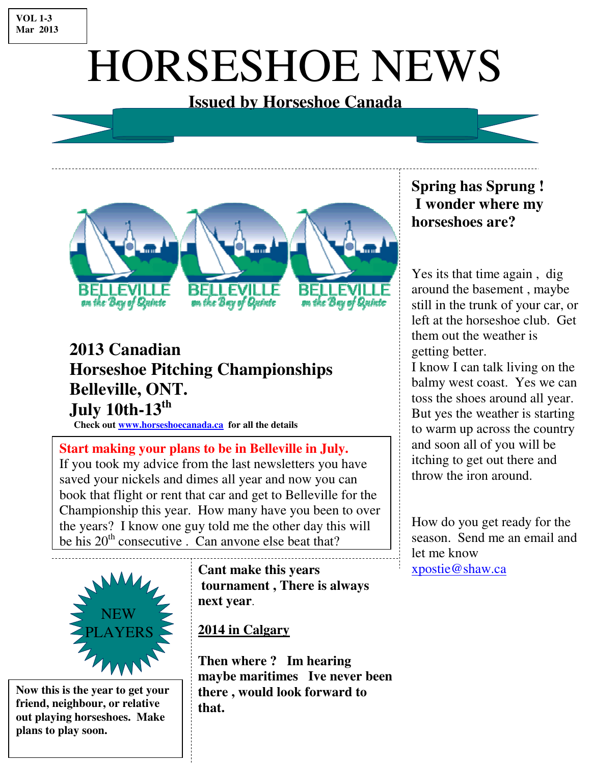#### **VOL 1-3 Mar 2013**

# HORSESHOE NEWS

#### **Issued by Horseshoe Canada**



### **2013 Canadian Horseshoe Pitching Championships Belleville, ONT. July 10th-13th**

**Check out www.horseshoecanada.ca for all the details** 

**Start making your plans to be in Belleville in July.**  If you took my advice from the last newsletters you have saved your nickels and dimes all year and now you can book that flight or rent that car and get to Belleville for the Championship this year. How many have you been to over the years? I know one guy told me the other day this will be his  $20<sup>th</sup>$  consecutive . Can anyone else beat that?



**Now this is the year to get your friend, neighbour, or relative out playing horseshoes. Make plans to play soon.** 

**Cant make this years tournament , There is always next year**.

#### **2014 in Calgary**

**Then where ? Im hearing maybe maritimes Ive never been there , would look forward to that.** 

#### **Spring has Sprung ! I wonder where my horseshoes are?**

Yes its that time again , dig around the basement , maybe still in the trunk of your car, or left at the horseshoe club. Get them out the weather is getting better.

I know I can talk living on the balmy west coast. Yes we can toss the shoes around all year. But yes the weather is starting to warm up across the country and soon all of you will be itching to get out there and throw the iron around.

How do you get ready for the season. Send me an email and let me know xpostie@shaw.ca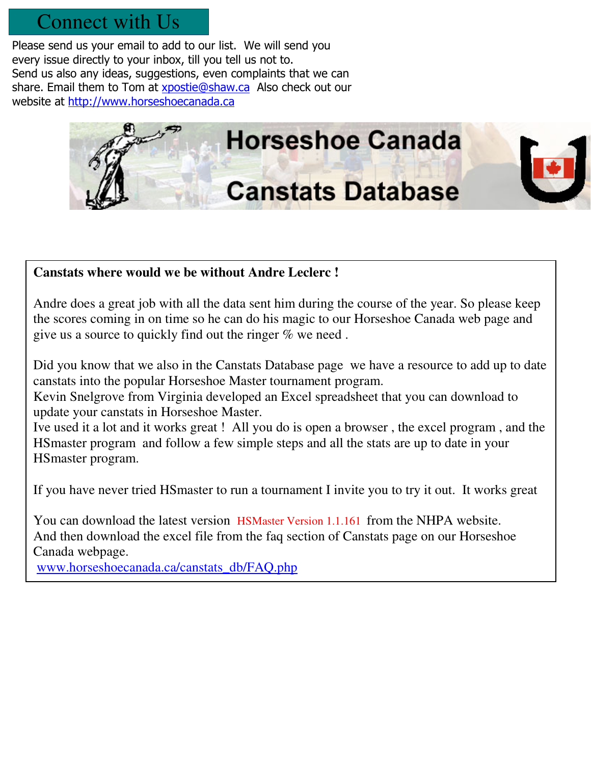#### Connect with Us

Please send us your email to add to our list. We will send you every issue directly to your inbox, till you tell us not to. Send us also any ideas, suggestions, even complaints that we can share. Email them to Tom at xpostie@shaw.ca Also check out our website at http://www.horseshoecanada.ca



#### **Canstats where would we be without Andre Leclerc !**

Andre does a great job with all the data sent him during the course of the year. So please keep the scores coming in on time so he can do his magic to our Horseshoe Canada web page and give us a source to quickly find out the ringer % we need .

Did you know that we also in the Canstats Database page we have a resource to add up to date canstats into the popular Horseshoe Master tournament program.

Kevin Snelgrove from Virginia developed an Excel spreadsheet that you can download to update your canstats in Horseshoe Master.

Ive used it a lot and it works great ! All you do is open a browser , the excel program , and the HSmaster program and follow a few simple steps and all the stats are up to date in your HSmaster program.

If you have never tried HSmaster to run a tournament I invite you to try it out. It works great

You can download the latest version HSMaster Version 1.1.161 from the NHPA website. And then download the excel file from the faq section of Canstats page on our Horseshoe Canada webpage.

www.horseshoecanada.ca/canstats\_db/FAQ.php